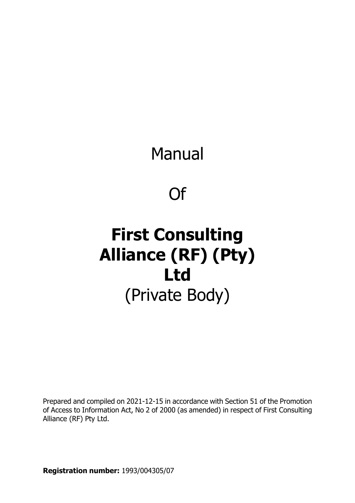Manual

Of

# **First Consulting Alliance (RF) (Pty) Ltd** (Private Body)

Prepared and compiled on 2021-12-15 in accordance with Section 51 of the Promotion of Access to Information Act, No 2 of 2000 (as amended) in respect of First Consulting Alliance (RF) Pty Ltd.

**Registration number:** 1993/004305/07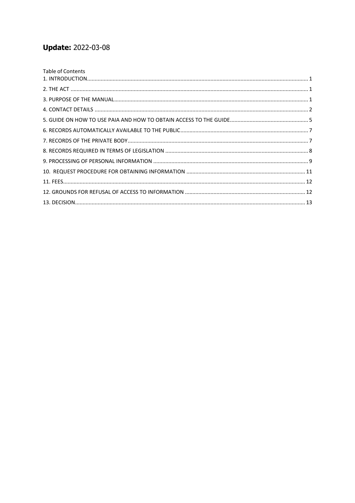# **Update: 2022-03-08**

| Table of Contents |  |
|-------------------|--|
|                   |  |
|                   |  |
|                   |  |
|                   |  |
|                   |  |
|                   |  |
|                   |  |
|                   |  |
|                   |  |
|                   |  |
|                   |  |
|                   |  |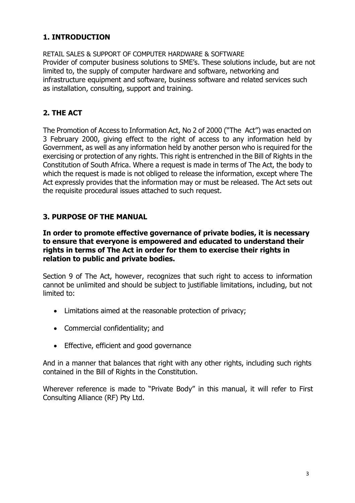# <span id="page-2-0"></span>**1. INTRODUCTION**

RETAIL SALES & SUPPORT OF COMPUTER HARDWARE & SOFTWARE Provider of computer business solutions to SME's. These solutions include, but are not limited to, the supply of computer hardware and software, networking and infrastructure equipment and software, business software and related services such as installation, consulting, support and training.

# <span id="page-2-1"></span>**2. THE ACT**

The Promotion of Access to Information Act, No 2 of 2000 ("The Act") was enacted on 3 February 2000, giving effect to the right of access to any information held by Government, as well as any information held by another person who is required for the exercising or protection of any rights. This right is entrenched in the Bill of Rights in the Constitution of South Africa. Where a request is made in terms of The Act, the body to which the request is made is not obliged to release the information, except where The Act expressly provides that the information may or must be released. The Act sets out the requisite procedural issues attached to such request.

#### <span id="page-2-2"></span>**3. PURPOSE OF THE MANUAL**

#### **In order to promote effective governance of private bodies, it is necessary to ensure that everyone is empowered and educated to understand their rights in terms of The Act in order for them to exercise their rights in relation to public and private bodies.**

Section 9 of The Act, however, recognizes that such right to access to information cannot be unlimited and should be subject to justifiable limitations, including, but not limited to:

- Limitations aimed at the reasonable protection of privacy;
- Commercial confidentiality; and
- Effective, efficient and good governance

And in a manner that balances that right with any other rights, including such rights contained in the Bill of Rights in the Constitution.

Wherever reference is made to "Private Body" in this manual, it will refer to First Consulting Alliance (RF) Pty Ltd.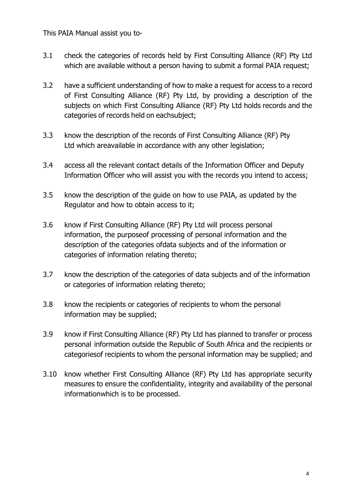This PAIA Manual assist you to-

- 3.1 check the categories of records held by First Consulting Alliance (RF) Pty Ltd which are available without a person having to submit a formal PAIA request;
- 3.2 have a sufficient understanding of how to make a request for access to a record of First Consulting Alliance (RF) Pty Ltd, by providing a description of the subjects on which First Consulting Alliance (RF) Pty Ltd holds records and the categories of records held on eachsubject;
- 3.3 know the description of the records of First Consulting Alliance (RF) Pty Ltd which areavailable in accordance with any other legislation;
- 3.4 access all the relevant contact details of the Information Officer and Deputy Information Officer who will assist you with the records you intend to access;
- 3.5 know the description of the guide on how to use PAIA, as updated by the Regulator and how to obtain access to it;
- 3.6 know if First Consulting Alliance (RF) Pty Ltd will process personal information, the purposeof processing of personal information and the description of the categories ofdata subjects and of the information or categories of information relating thereto;
- 3.7 know the description of the categories of data subjects and of the information or categories of information relating thereto;
- 3.8 know the recipients or categories of recipients to whom the personal information may be supplied;
- 3.9 know if First Consulting Alliance (RF) Pty Ltd has planned to transfer or process personal information outside the Republic of South Africa and the recipients or categoriesof recipients to whom the personal information may be supplied; and
- 3.10 know whether First Consulting Alliance (RF) Pty Ltd has appropriate security measures to ensure the confidentiality, integrity and availability of the personal informationwhich is to be processed.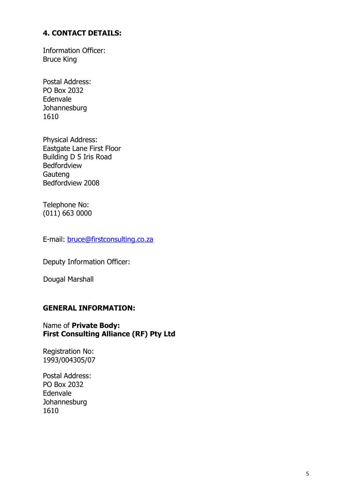#### <span id="page-4-0"></span>**4. CONTACT DETAILS:**

Information Officer: Bruce King

Postal Address: PO Box 2032 Edenvale **Johannesburg** 1610

Physical Address: Eastgate Lane First Floor Building D 5 Iris Road Bedfordview Gauteng Bedfordview 2008

Telephone No: (011) 663 0000

E-mail: [bruce@firstconsulting.co.za](mailto:bruce@firstconsulting.co.za)

Deputy Information Officer:

Dougal Marshall

#### **GENERAL INFORMATION:**

#### Name of **Private Body: First Consulting Alliance (RF) Pty Ltd**

Registration No: 1993/004305/07

Postal Address: PO Box 2032 Edenvale **Johannesburg** 1610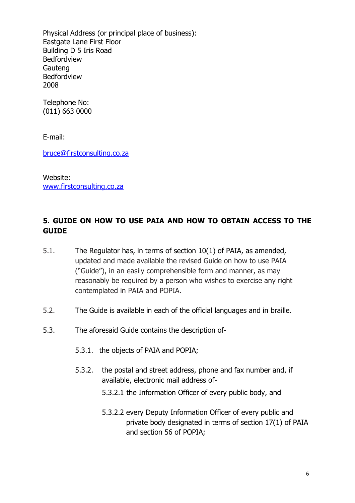Physical Address (or principal place of business): Eastgate Lane First Floor Building D 5 Iris Road Bedfordview Gauteng Bedfordview 2008

Telephone No: (011) 663 0000

E-mail:

[bruce@firstconsulting.co.za](mailto:bruce@firstconsulting.co.za)

Website: [www.firstconsulting.co.za](http://www.firstconsulting.co.za/)

## <span id="page-5-0"></span>**5. GUIDE ON HOW TO USE PAIA AND HOW TO OBTAIN ACCESS TO THE GUIDE**

- 5.1. The Regulator has, in terms of section 10(1) of PAIA, as amended, updated and made available the revised Guide on how to use PAIA ("Guide"), in an easily comprehensible form and manner, as may reasonably be required by a person who wishes to exercise any right contemplated in PAIA and POPIA.
- 5.2. The Guide is available in each of the official languages and in braille.
- 5.3. The aforesaid Guide contains the description of-
	- 5.3.1. the objects of PAIA and POPIA;
	- 5.3.2. the postal and street address, phone and fax number and, if available, electronic mail address of-
		- 5.3.2.1 the Information Officer of every public body, and
		- 5.3.2.2 every Deputy Information Officer of every public and private body designated in terms of section 17(1) of PAIA and section 56 of POPIA;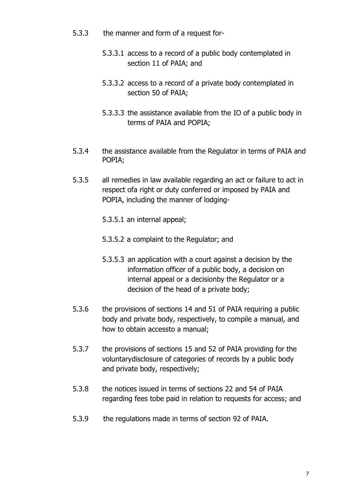- 5.3.3 the manner and form of a request for-
	- 5.3.3.1 access to a record of a public body contemplated in section 11 of PAIA; and
	- 5.3.3.2 access to a record of a private body contemplated in section 50 of PAIA;
	- 5.3.3.3 the assistance available from the IO of a public body in terms of PAIA and POPIA;
- 5.3.4 the assistance available from the Regulator in terms of PAIA and POPIA;
- 5.3.5 all remedies in law available regarding an act or failure to act in respect ofa right or duty conferred or imposed by PAIA and POPIA, including the manner of lodging-
	- 5.3.5.1 an internal appeal;
	- 5.3.5.2 a complaint to the Regulator; and
	- 5.3.5.3 an application with a court against a decision by the information officer of a public body, a decision on internal appeal or a decisionby the Regulator or a decision of the head of a private body;
- 5.3.6 the provisions of sections 14 and 51 of PAIA requiring a public body and private body, respectively, to compile a manual, and how to obtain accessto a manual;
- 5.3.7 the provisions of sections 15 and 52 of PAIA providing for the voluntarydisclosure of categories of records by a public body and private body, respectively;
- 5.3.8 the notices issued in terms of sections 22 and 54 of PAIA regarding fees tobe paid in relation to requests for access; and
- 5.3.9 the regulations made in terms of section 92 of PAIA.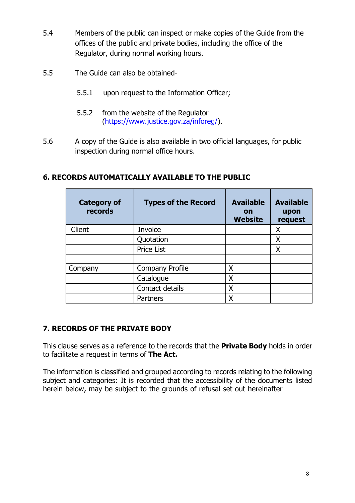- 5.4 Members of the public can inspect or make copies of the Guide from the offices of the public and private bodies, including the office of the Regulator, during normal working hours.
- 5.5 The Guide can also be obtained-
	- 5.5.1 upon request to the Information Officer;
	- 5.5.2 from the website of the Regulator [\(https://www.justice.gov.za/inforeg/\)](https://www.justice.gov.za/inforeg/).
- 5.6 A copy of the Guide is also available in two official languages, for public inspection during normal office hours.

| <b>Category of</b><br>records | <b>Types of the Record</b> | <b>Available</b><br>on<br><b>Website</b> | <b>Available</b><br>upon<br>request |
|-------------------------------|----------------------------|------------------------------------------|-------------------------------------|
| Client                        | Invoice                    |                                          | Χ                                   |
|                               | Quotation                  |                                          | Χ                                   |
|                               | Price List                 |                                          | Χ                                   |
| Company                       | <b>Company Profile</b>     | Χ                                        |                                     |
|                               | Catalogue                  | X                                        |                                     |
|                               | Contact details            | X                                        |                                     |
|                               | Partners                   | Χ                                        |                                     |

### <span id="page-7-0"></span>**6. RECORDS AUTOMATICALLY AVAILABLE TO THE PUBLIC**

# <span id="page-7-1"></span>**7. RECORDS OF THE PRIVATE BODY**

This clause serves as a reference to the records that the **Private Body** holds in order to facilitate a request in terms of **The Act.**

The information is classified and grouped according to records relating to the following subject and categories: It is recorded that the accessibility of the documents listed herein below, may be subject to the grounds of refusal set out hereinafter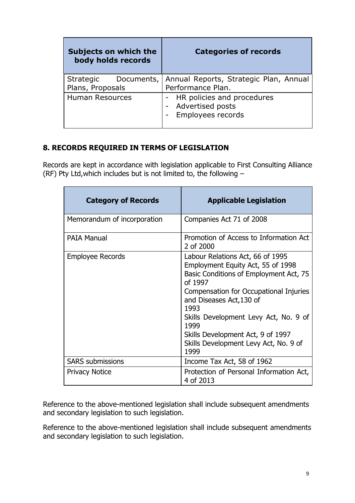| Subjects on which the<br>body holds records | <b>Categories of records</b>                                                       |
|---------------------------------------------|------------------------------------------------------------------------------------|
| Plans, Proposals                            | Strategic Documents,   Annual Reports, Strategic Plan, Annual<br>Performance Plan. |
| <b>Human Resources</b>                      | - HR policies and procedures<br><b>Advertised posts</b><br>Employees records       |

## <span id="page-8-0"></span>**8. RECORDS REQUIRED IN TERMS OF LEGISLATION**

Records are kept in accordance with legislation applicable to First Consulting Alliance (RF) Pty Ltd,which includes but is not limited to, the following –

| <b>Category of Records</b>  | <b>Applicable Legislation</b>                                                                                                                                                                                                                                                                                                                   |
|-----------------------------|-------------------------------------------------------------------------------------------------------------------------------------------------------------------------------------------------------------------------------------------------------------------------------------------------------------------------------------------------|
| Memorandum of incorporation | Companies Act 71 of 2008                                                                                                                                                                                                                                                                                                                        |
| <b>PAIA Manual</b>          | Promotion of Access to Information Act<br>2 of 2000                                                                                                                                                                                                                                                                                             |
| <b>Employee Records</b>     | Labour Relations Act, 66 of 1995<br>Employment Equity Act, 55 of 1998<br>Basic Conditions of Employment Act, 75<br>of 1997<br>Compensation for Occupational Injuries<br>and Diseases Act, 130 of<br>1993<br>Skills Development Levy Act, No. 9 of<br>1999<br>Skills Development Act, 9 of 1997<br>Skills Development Levy Act, No. 9 of<br>1999 |
| <b>SARS</b> submissions     | Income Tax Act, 58 of 1962                                                                                                                                                                                                                                                                                                                      |
| <b>Privacy Notice</b>       | Protection of Personal Information Act,<br>4 of 2013                                                                                                                                                                                                                                                                                            |

Reference to the above-mentioned legislation shall include subsequent amendments and secondary legislation to such legislation.

Reference to the above-mentioned legislation shall include subsequent amendments and secondary legislation to such legislation.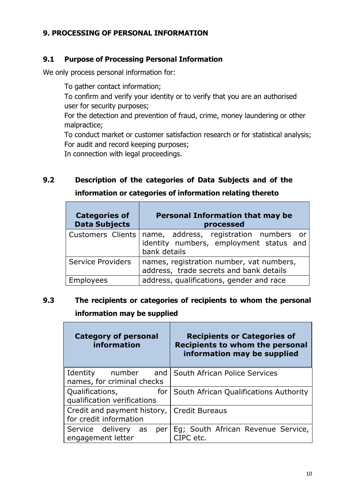### <span id="page-9-0"></span>**9. PROCESSING OF PERSONAL INFORMATION**

#### **9.1 Purpose of Processing Personal Information**

We only process personal information for:

To gather contact information;

To confirm and verify your identity or to verify that you are an authorised user for security purposes;

For the detection and prevention of fraud, crime, money laundering or other malpractice;

To conduct market or customer satisfaction research or for statistical analysis; For audit and record keeping purposes;

In connection with legal proceedings.

 $\overline{\phantom{a}}$ 

# **9.2 Description of the categories of Data Subjects and of the information or categories of information relating thereto**

| <b>Categories of</b><br><b>Data Subjects</b> | <b>Personal Information that may be</b><br>processed                                              |
|----------------------------------------------|---------------------------------------------------------------------------------------------------|
| <b>Customers Clients</b>                     | name, address, registration numbers or<br>identity numbers, employment status and<br>bank details |
| <b>Service Providers</b>                     | names, registration number, vat numbers,<br>address, trade secrets and bank details               |
| Employees                                    | address, qualifications, gender and race                                                          |

# **9.3 The recipients or categories of recipients to whom the personal information may be supplied**

| <b>Category of personal</b><br>information            | <b>Recipients or Categories of</b><br><b>Recipients to whom the personal</b><br>information may be supplied |
|-------------------------------------------------------|-------------------------------------------------------------------------------------------------------------|
| Identity<br>number<br>names, for criminal checks      | and   South African Police Services                                                                         |
| Qualifications,<br>for<br>qualification verifications | South African Qualifications Authority                                                                      |
| Credit and payment history,<br>for credit information | <b>Credit Bureaus</b>                                                                                       |
| Service delivery<br>as<br>per<br>engagement letter    | Eg; South African Revenue Service,<br>CIPC etc.                                                             |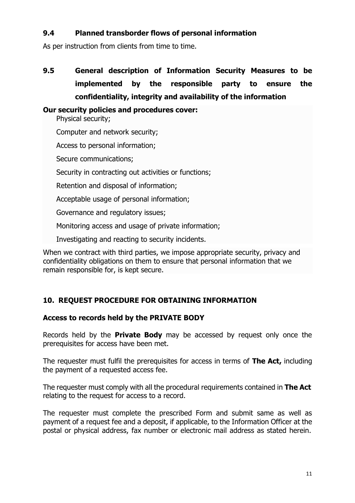### **9.4 Planned transborder flows of personal information**

As per instruction from clients from time to time.

**9.5 General description of Information Security Measures to be implemented by the responsible party to ensure the confidentiality, integrity and availability of the information**

#### **Our security policies and procedures cover:**

Physical security;

Computer and network security;

Access to personal information;

Secure communications;

Security in contracting out activities or functions;

Retention and disposal of information;

Acceptable usage of personal information;

Governance and regulatory issues;

Monitoring access and usage of private information;

Investigating and reacting to security incidents.

When we contract with third parties, we impose appropriate security, privacy and confidentiality obligations on them to ensure that personal information that we remain responsible for, is kept secure.

### <span id="page-10-0"></span>**10. REQUEST PROCEDURE FOR OBTAINING INFORMATION**

#### **Access to records held by the PRIVATE BODY**

Records held by the **Private Body** may be accessed by request only once the prerequisites for access have been met.

The requester must fulfil the prerequisites for access in terms of **The Act,** including the payment of a requested access fee.

The requester must comply with all the procedural requirements contained in **The Act** relating to the request for access to a record.

The requester must complete the prescribed Form and submit same as well as payment of a request fee and a deposit, if applicable, to the Information Officer at the postal or physical address, fax number or electronic mail address as stated herein.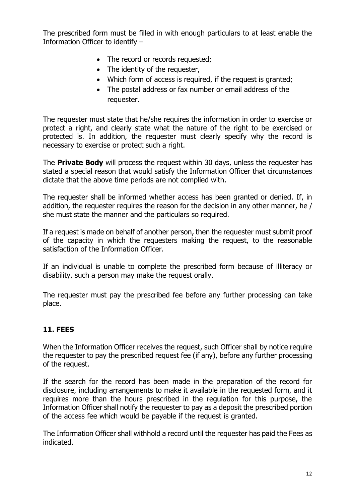The prescribed form must be filled in with enough particulars to at least enable the Information Officer to identify –

- The record or records requested;
- The identity of the requester,
- Which form of access is required, if the request is granted;
- The postal address or fax number or email address of the requester.

The requester must state that he/she requires the information in order to exercise or protect a right, and clearly state what the nature of the right to be exercised or protected is. In addition, the requester must clearly specify why the record is necessary to exercise or protect such a right.

The **Private Body** will process the request within 30 days, unless the requester has stated a special reason that would satisfy the Information Officer that circumstances dictate that the above time periods are not complied with.

The requester shall be informed whether access has been granted or denied. If, in addition, the requester requires the reason for the decision in any other manner, he / she must state the manner and the particulars so required.

If a request is made on behalf of another person, then the requester must submit proof of the capacity in which the requesters making the request, to the reasonable satisfaction of the Information Officer.

If an individual is unable to complete the prescribed form because of illiteracy or disability, such a person may make the request orally.

The requester must pay the prescribed fee before any further processing can take place.

#### <span id="page-11-0"></span>**11. FEES**

When the Information Officer receives the request, such Officer shall by notice require the requester to pay the prescribed request fee (if any), before any further processing of the request.

If the search for the record has been made in the preparation of the record for disclosure, including arrangements to make it available in the requested form, and it requires more than the hours prescribed in the regulation for this purpose, the Information Officer shall notify the requester to pay as a deposit the prescribed portion of the access fee which would be payable if the request is granted.

The Information Officer shall withhold a record until the requester has paid the Fees as indicated.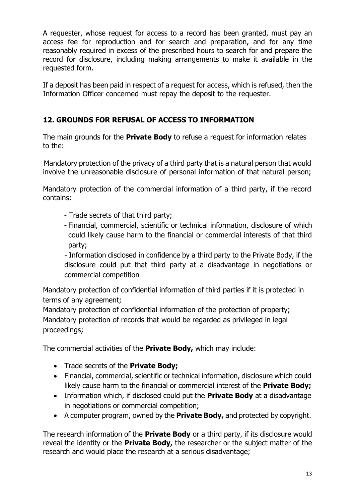A requester, whose request for access to a record has been granted, must pay an access fee for reproduction and for search and preparation, and for any time reasonably required in excess of the prescribed hours to search for and prepare the record for disclosure, including making arrangements to make it available in the requested form.

If a deposit has been paid in respect of a request for access, which is refused, then the Information Officer concerned must repay the deposit to the requester.

# <span id="page-12-0"></span>**12. GROUNDS FOR REFUSAL OF ACCESS TO INFORMATION**

The main grounds for the **Private Body** to refuse a request for information relates to the:

Mandatory protection of the privacy of a third party that is a natural person that would involve the unreasonable disclosure of personal information of that natural person;

Mandatory protection of the commercial information of a third party, if the record contains:

- Trade secrets of that third party;
- Financial, commercial, scientific or technical information, disclosure of which could likely cause harm to the financial or commercial interests of that third party;

- Information disclosed in confidence by a third party to the Private Body, if the disclosure could put that third party at a disadvantage in negotiations or commercial competition

Mandatory protection of confidential information of third parties if it is protected in terms of any agreement;

Mandatory protection of confidential information of the protection of property; Mandatory protection of records that would be regarded as privileged in legal proceedings;

The commercial activities of the **Private Body,** which may include:

- Trade secrets of the **Private Body;**
- Financial, commercial, scientific or technical information, disclosure which could likely cause harm to the financial or commercial interest of the **Private Body;**
- Information which, if disclosed could put the **Private Body** at a disadvantage in negotiations or commercial competition;
- A computer program, owned by the **Private Body,** and protected by copyright.

The research information of the **Private Body** or a third party, if its disclosure would reveal the identity or the **Private Body,** the researcher or the subject matter of the research and would place the research at a serious disadvantage;